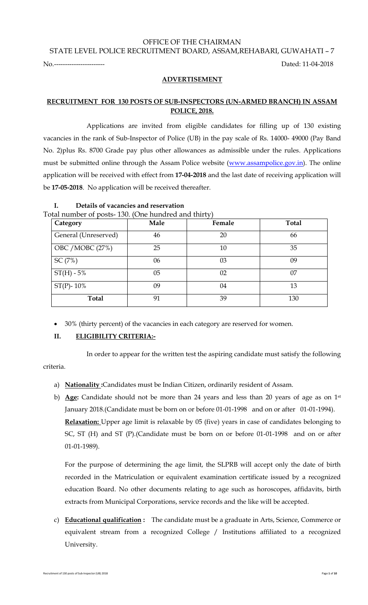# OFFICE OF THE CHAIRMAN STATE LEVEL POLICE RECRUITMENT BOARD, ASSAM,REHABARI, GUWAHATI – 7

No.----------------------- Dated: 11-04-2018

### **ADVERTISEMENT**

## **RECRUITMENT FOR 130 POSTS OF SUB-INSPECTORS (UN-ARMED BRANCH) IN ASSAM POLICE, 2018.**

Applications are invited from eligible candidates for filling up of 130 existing vacancies in the rank of Sub-Inspector of Police (UB) in the pay scale of Rs. 14000- 49000 (Pay Band No. 2)plus Rs. 8700 Grade pay plus other allowances as admissible under the rules. Applications must be submitted online through the Assam Police website [\(www.assampolice.gov.in\)](http://www.assampolice.gov.in/). The online application will be received with effect from **17-04-2018** and the last date of receiving application will be **17-05-2018**. No application will be received thereafter.

| Category             | Male | Female | <b>Total</b> |
|----------------------|------|--------|--------------|
| General (Unreserved) | 46   | 20     | 66           |
| OBC / MOBC (27%)     | 25   | 10     | 35           |
| SC(7%)               | 06   | 03     | 09           |
| $ST(H) - 5%$         | 05   | 02     | 07           |
| $ST(P)$ - 10%        | 09   | 04     | 13           |
| <b>Total</b>         | 91   | 39     | 130          |

#### **I. Details of vacancies and reservation** Total number of posts- 130. (One hundred and thirty)

30% (thirty percent) of the vacancies in each category are reserved for women.

## **II. ELIGIBILITY CRITERIA:-**

In order to appear for the written test the aspiring candidate must satisfy the following criteria.

- a) **Nationality :**Candidates must be Indian Citizen, ordinarily resident of Assam.
- b) **Age:** Candidate should not be more than 24 years and less than 20 years of age as on 1st January 2018.(Candidate must be born on or before 01-01-1998 and on or after 01-01-1994). **Relaxation:** Upper age limit is relaxable by 05 (five) years in case of candidates belonging to SC, ST (H) and ST (P).(Candidate must be born on or before 01-01-1998 and on or after 01-01-1989).

For the purpose of determining the age limit, the SLPRB will accept only the date of birth recorded in the Matriculation or equivalent examination certificate issued by a recognized education Board. No other documents relating to age such as horoscopes, affidavits, birth extracts from Municipal Corporations, service records and the like will be accepted.

c) **Educational qualification :** The candidate must be a graduate in Arts, Science, Commerce or equivalent stream from a recognized College / Institutions affiliated to a recognized University.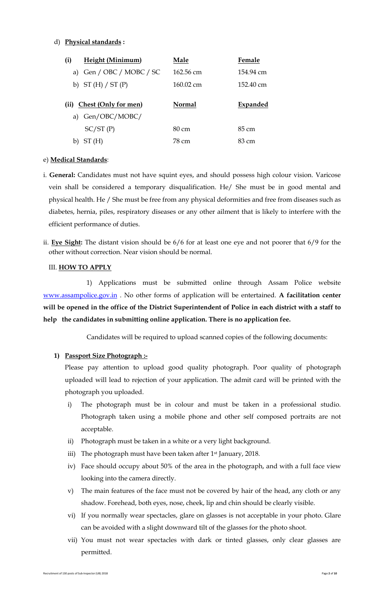## d) **Physical standards :**

| (i) | Height (Minimum)          | Male                | Female              |
|-----|---------------------------|---------------------|---------------------|
|     | a) Gen / OBC / MOBC / SC  | $162.56 \text{ cm}$ | 154.94 cm           |
|     | b) ST $(H)$ / ST $(P)$    | 160.02 cm           | $152.40 \text{ cm}$ |
|     | (ii) Chest (Only for men) | <b>Normal</b>       | Expanded            |
|     |                           |                     |                     |
|     | a) Gen/OBC/MOBC/          |                     |                     |
|     | SC/ST(P)                  | $80 \, \mathrm{cm}$ | 85 cm               |

### e) **Medical Standards**:

- i. **General:** Candidates must not have squint eyes, and should possess high colour vision. Varicose vein shall be considered a temporary disqualification. He/ She must be in good mental and physical health. He / She must be free from any physical deformities and free from diseases such as diabetes, hernia, piles, respiratory diseases or any other ailment that is likely to interfere with the efficient performance of duties.
- ii. **Eye Sight:** The distant vision should be 6/6 for at least one eye and not poorer that 6/9 for the other without correction. Near vision should be normal.

### III. **HOW TO APPLY**

1) Applications must be submitted online through Assam Police website [www.assampolice.gov.in](http://www.assampolice.gov.in/) . No other forms of application will be entertained. **A facilitation center will be opened in the office of the District Superintendent of Police in each district with a staff to help the candidates in submitting online application. There is no application fee.** 

Candidates will be required to upload scanned copies of the following documents:

## **1) Passport Size Photograph :-**

Please pay attention to upload good quality photograph. Poor quality of photograph uploaded will lead to rejection of your application. The admit card will be printed with the photograph you uploaded.

- i) The photograph must be in colour and must be taken in a professional studio. Photograph taken using a mobile phone and other self composed portraits are not acceptable.
- ii) Photograph must be taken in a white or a very light background.
- iii) The photograph must have been taken after 1<sup>st</sup> January, 2018.
- iv) Face should occupy about 50% of the area in the photograph, and with a full face view looking into the camera directly.
- v) The main features of the face must not be covered by hair of the head, any cloth or any shadow. Forehead, both eyes, nose, cheek, lip and chin should be clearly visible.
- vi) If you normally wear spectacles, glare on glasses is not acceptable in your photo. Glare can be avoided with a slight downward tilt of the glasses for the photo shoot.
- vii) You must not wear spectacles with dark or tinted glasses, only clear glasses are permitted.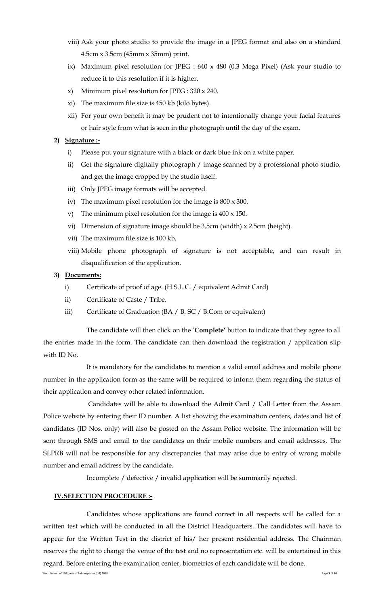- viii) Ask your photo studio to provide the image in a JPEG format and also on a standard 4.5cm x 3.5cm (45mm x 35mm) print.
- ix) Maximum pixel resolution for JPEG : 640 x 480 (0.3 Mega Pixel) (Ask your studio to reduce it to this resolution if it is higher.
- x) Minimum pixel resolution for JPEG : 320 x 240.
- xi) The maximum file size is 450 kb (kilo bytes).
- xii) For your own benefit it may be prudent not to intentionally change your facial features or hair style from what is seen in the photograph until the day of the exam.

## **2) Signature :-**

- i) Please put your signature with a black or dark blue ink on a white paper.
- ii) Get the signature digitally photograph / image scanned by a professional photo studio, and get the image cropped by the studio itself.
- iii) Only JPEG image formats will be accepted.
- iv) The maximum pixel resolution for the image is 800 x 300.
- v) The minimum pixel resolution for the image is 400 x 150.
- vi) Dimension of signature image should be 3.5cm (width) x 2.5cm (height).
- vii) The maximum file size is 100 kb.
- viii) Mobile phone photograph of signature is not acceptable, and can result in disqualification of the application.

## **3) Documents:**

- i) Certificate of proof of age. (H.S.L.C. / equivalent Admit Card)
- ii) Certificate of Caste / Tribe.
- iii) Certificate of Graduation (BA / B. SC / B.Com or equivalent)

The candidate will then click on the '**Complete'** button to indicate that they agree to all the entries made in the form. The candidate can then download the registration / application slip with ID No.

It is mandatory for the candidates to mention a valid email address and mobile phone number in the application form as the same will be required to inform them regarding the status of their application and convey other related information.

Candidates will be able to download the Admit Card / Call Letter from the Assam Police website by entering their ID number. A list showing the examination centers, dates and list of candidates (ID Nos. only) will also be posted on the Assam Police website. The information will be sent through SMS and email to the candidates on their mobile numbers and email addresses. The SLPRB will not be responsible for any discrepancies that may arise due to entry of wrong mobile number and email address by the candidate.

Incomplete / defective / invalid application will be summarily rejected.

## **IV.SELECTION PROCEDURE :-**

Candidates whose applications are found correct in all respects will be called for a written test which will be conducted in all the District Headquarters. The candidates will have to appear for the Written Test in the district of his/ her present residential address. The Chairman reserves the right to change the venue of the test and no representation etc. will be entertained in this regard. Before entering the examination center, biometrics of each candidate will be done.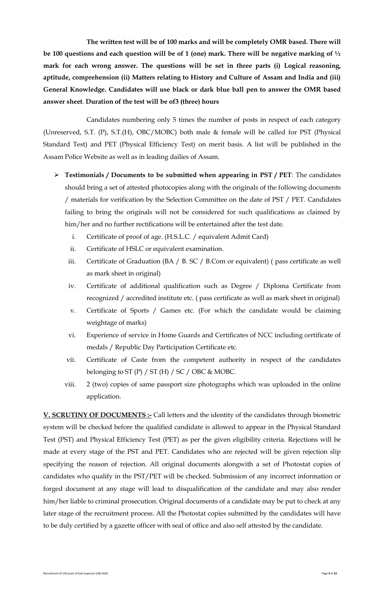**The written test will be of 100 marks and will be completely OMR based. There will be 100 questions and each question will be of 1 (one) mark. There will be negative marking of ½ mark for each wrong answer. The questions will be set in three parts (i) Logical reasoning, aptitude, comprehension (ii) Matters relating to History and Culture of Assam and India and (iii) General Knowledge. Candidates will use black or dark blue ball pen to answer the OMR based answer sheet**. **Duration of the test will be of3 (three) hours**

Candidates numbering only 5 times the number of posts in respect of each category (Unreserved, S.T. (P), S.T.(H), OBC/MOBC) both male & female will be called for PST (Physical Standard Test) and PET (Physical Efficiency Test) on merit basis. A list will be published in the Assam Police Website as well as in leading dailies of Assam.

- **Testimonials / Documents to be submitted when appearing in PST / PET**: The candidates should bring a set of attested photocopies along with the originals of the following documents / materials for verification by the Selection Committee on the date of PST / PET. Candidates failing to bring the originals will not be considered for such qualifications as claimed by him/her and no further rectifications will be entertained after the test date.
	- i. Certificate of proof of age. (H.S.L.C. / equivalent Admit Card)
	- ii. Certificate of HSLC or equivalent examination.
	- iii. Certificate of Graduation (BA / B. SC / B.Com or equivalent) ( pass certificate as well as mark sheet in original)
	- iv. Certificate of additional qualification such as Degree / Diploma Certificate from recognized / accredited institute etc. ( pass certificate as well as mark sheet in original)
	- v. Certificate of Sports / Games etc. (For which the candidate would be claiming weightage of marks)
	- vi. Experience of service in Home Guards and Certificates of NCC including certificate of medals / Republic Day Participation Certificate etc.
	- vii. Certificate of Caste from the competent authority in respect of the candidates belonging to ST (P) / ST (H) / SC / OBC & MOBC.
	- viii. 2 (two) copies of same passport size photographs which was uploaded in the online application.

**V. SCRUTINY OF DOCUMENTS :-** Call letters and the identity of the candidates through biometric system will be checked before the qualified candidate is allowed to appear in the Physical Standard Test (PST) and Physical Efficiency Test (PET) as per the given eligibility criteria. Rejections will be made at every stage of the PST and PET. Candidates who are rejected will be given rejection slip specifying the reason of rejection. All original documents alongwith a set of Photostat copies of candidates who qualify in the PST/PET will be checked. Submission of any incorrect information or forged document at any stage will lead to disqualification of the candidate and may also render him/her liable to criminal prosecution. Original documents of a candidate may be put to check at any later stage of the recruitment process. All the Photostat copies submitted by the candidates will have to be duly certified by a gazette officer with seal of office and also self attested by the candidate.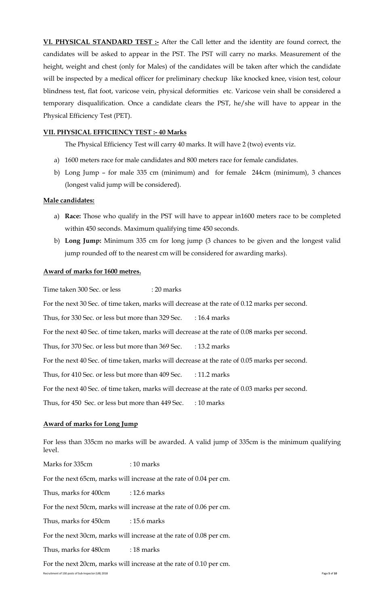**VI. PHYSICAL STANDARD TEST :-** After the Call letter and the identity are found correct, the candidates will be asked to appear in the PST. The PST will carry no marks. Measurement of the height, weight and chest (only for Males) of the candidates will be taken after which the candidate will be inspected by a medical officer for preliminary checkup like knocked knee, vision test, colour blindness test, flat foot, varicose vein, physical deformities etc. Varicose vein shall be considered a temporary disqualification. Once a candidate clears the PST, he/she will have to appear in the Physical Efficiency Test (PET).

## **VII. PHYSICAL EFFICIENCY TEST :- 40 Marks**

The Physical Efficiency Test will carry 40 marks. It will have 2 (two) events viz.

- a) 1600 meters race for male candidates and 800 meters race for female candidates.
- b) Long Jump for male 335 cm (minimum) and for female 244cm (minimum), 3 chances (longest valid jump will be considered).

## **Male candidates:**

- a) **Race:** Those who qualify in the PST will have to appear in1600 meters race to be completed within 450 seconds. Maximum qualifying time 450 seconds.
- b) **Long Jump:** Minimum 335 cm for long jump (3 chances to be given and the longest valid jump rounded off to the nearest cm will be considered for awarding marks).

### **Award of marks for 1600 metres.**

Time taken 300 Sec. or less : 20 marks

For the next 30 Sec. of time taken, marks will decrease at the rate of 0.12 marks per second.

Thus, for 330 Sec. or less but more than 329 Sec. : 16.4 marks

For the next 40 Sec. of time taken, marks will decrease at the rate of 0.08 marks per second.

Thus, for 370 Sec. or less but more than 369 Sec. : 13.2 marks

For the next 40 Sec. of time taken, marks will decrease at the rate of 0.05 marks per second.

Thus, for 410 Sec. or less but more than 409 Sec. : 11.2 marks

For the next 40 Sec. of time taken, marks will decrease at the rate of 0.03 marks per second.

Thus, for  $450$  Sec. or less but more than  $449$  Sec.  $\therefore$  10 marks

## **Award of marks for Long Jump**

For less than 335cm no marks will be awarded. A valid jump of 335cm is the minimum qualifying level.

Marks for 335cm : 10 marks

For the next 65cm, marks will increase at the rate of 0.04 per cm.

Thus, marks for 400cm : 12.6 marks

For the next 50cm, marks will increase at the rate of 0.06 per cm.

Thus, marks for 450cm : 15.6 marks

For the next 30cm, marks will increase at the rate of 0.08 per cm.

Thus, marks for 480cm : 18 marks

For the next 20cm, marks will increase at the rate of 0.10 per cm.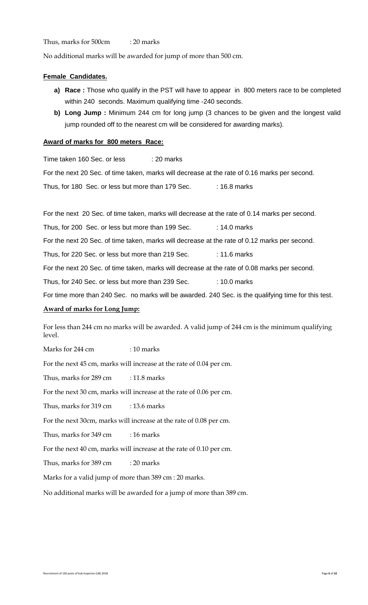Thus, marks for 500cm : 20 marks

No additional marks will be awarded for jump of more than 500 cm.

## **Female Candidates.**

- **a) Race :** Those who qualify in the PST will have to appear in 800 meters race to be completed within 240 seconds. Maximum qualifying time -240 seconds.
- **b) Long Jump :** Minimum 244 cm for long jump (3 chances to be given and the longest valid jump rounded off to the nearest cm will be considered for awarding marks).

#### **Award of marks for 800 meters Race:**

Time taken 160 Sec. or less : 20 marks For the next 20 Sec. of time taken, marks will decrease at the rate of 0.16 marks per second. Thus, for 180 Sec. or less but more than 179 Sec. : 16.8 marks

For the next 20 Sec. of time taken, marks will decrease at the rate of 0.14 marks per second. Thus, for 200 Sec. or less but more than 199 Sec. : 14.0 marks For the next 20 Sec. of time taken, marks will decrease at the rate of 0.12 marks per second. Thus, for 220 Sec. or less but more than 219 Sec. : 11.6 marks For the next 20 Sec. of time taken, marks will decrease at the rate of 0.08 marks per second. Thus, for 240 Sec. or less but more than 239 Sec. : 10.0 marks For time more than 240 Sec. no marks will be awarded. 240 Sec. is the qualifying time for this test.

#### **Award of marks for Long Jump:**

For less than 244 cm no marks will be awarded. A valid jump of 244 cm is the minimum qualifying level.

Marks for 244 cm : 10 marks

For the next 45 cm, marks will increase at the rate of 0.04 per cm.

Thus, marks for 289 cm : 11.8 marks

For the next 30 cm, marks will increase at the rate of 0.06 per cm.

Thus, marks for 319 cm : 13.6 marks

For the next 30cm, marks will increase at the rate of 0.08 per cm.

Thus, marks for 349 cm : 16 marks

For the next 40 cm, marks will increase at the rate of 0.10 per cm.

Thus, marks for 389 cm : 20 marks

Marks for a valid jump of more than 389 cm : 20 marks.

No additional marks will be awarded for a jump of more than 389 cm.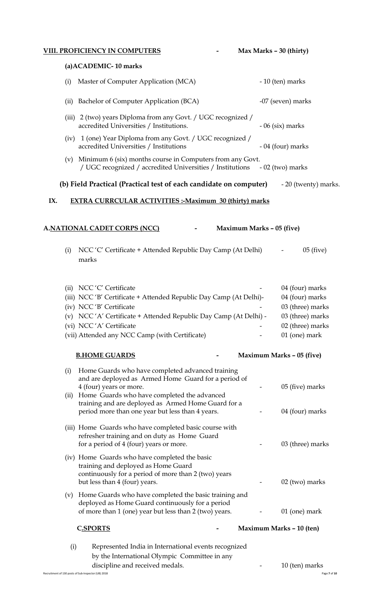**VIII. PROFICIENCY IN COMPUTERS - Max Marks – 30 (thirty)**

|                                                                                                       | (a) ACADEMIC-10 marks                                                                                                                                                         |                           |                           |  |  |
|-------------------------------------------------------------------------------------------------------|-------------------------------------------------------------------------------------------------------------------------------------------------------------------------------|---------------------------|---------------------------|--|--|
| (i)                                                                                                   | Master of Computer Application (MCA)                                                                                                                                          |                           | - 10 (ten) marks          |  |  |
|                                                                                                       | Bachelor of Computer Application (BCA)<br>(ii)                                                                                                                                |                           | -07 (seven) marks         |  |  |
|                                                                                                       | (iii) 2 (two) years Diploma from any Govt. / UGC recognized /<br>accredited Universities / Institutions.<br>$-06$ (six) marks                                                 |                           |                           |  |  |
| (iv) 1 (one) Year Diploma from any Govt. / UGC recognized /<br>accredited Universities / Institutions |                                                                                                                                                                               |                           | - 04 (four) marks         |  |  |
| (v)                                                                                                   | Minimum 6 (six) months course in Computers from any Govt.<br>/ UGC recognized / accredited Universities / Institutions                                                        |                           | $-02$ (two) marks         |  |  |
|                                                                                                       | (b) Field Practical (Practical test of each candidate on computer)                                                                                                            |                           | - 20 (twenty) marks.      |  |  |
| IX.                                                                                                   | <b>EXTRA CURRCULAR ACTIVITIES: - Maximum 30 (thirty) marks</b>                                                                                                                |                           |                           |  |  |
|                                                                                                       | <b>A.NATIONAL CADET CORPS (NCC)</b>                                                                                                                                           | Maximum Marks - 05 (five) |                           |  |  |
| (i)                                                                                                   | NCC 'C' Certificate + Attended Republic Day Camp (At Delhi)<br>marks                                                                                                          |                           | $05$ (five)               |  |  |
|                                                                                                       | (ii) NCC 'C' Certificate                                                                                                                                                      |                           | 04 (four) marks           |  |  |
|                                                                                                       | (iii) NCC 'B' Certificate + Attended Republic Day Camp (At Delhi)-                                                                                                            |                           | 04 (four) marks           |  |  |
|                                                                                                       | (iv) NCC 'B' Certificate                                                                                                                                                      |                           | 03 (three) marks          |  |  |
|                                                                                                       | (v) NCC 'A' Certificate + Attended Republic Day Camp (At Delhi) -                                                                                                             |                           | 03 (three) marks          |  |  |
|                                                                                                       | (vi) NCC 'A' Certificate                                                                                                                                                      |                           | 02 (three) marks          |  |  |
|                                                                                                       | (vii) Attended any NCC Camp (with Certificate)                                                                                                                                |                           | 01 (one) mark             |  |  |
|                                                                                                       | <b>B.HOME GUARDS</b>                                                                                                                                                          |                           | Maximum Marks - 05 (five) |  |  |
| (i)                                                                                                   | Home Guards who have completed advanced training<br>and are deployed as Armed Home Guard for a period of                                                                      |                           |                           |  |  |
|                                                                                                       | 4 (four) years or more.                                                                                                                                                       |                           | 05 (five) marks           |  |  |
| (ii)                                                                                                  | Home Guards who have completed the advanced                                                                                                                                   |                           |                           |  |  |
|                                                                                                       | training and are deployed as Armed Home Guard for a<br>period more than one year but less than 4 years.                                                                       |                           | 04 (four) marks           |  |  |
|                                                                                                       | (iii) Home Guards who have completed basic course with<br>refresher training and on duty as Home Guard                                                                        |                           |                           |  |  |
|                                                                                                       | for a period of 4 (four) years or more.                                                                                                                                       |                           | 03 (three) marks          |  |  |
|                                                                                                       | (iv) Home Guards who have completed the basic<br>training and deployed as Home Guard<br>continuously for a period of more than 2 (two) years<br>but less than 4 (four) years. |                           | $02$ (two) marks          |  |  |
|                                                                                                       |                                                                                                                                                                               |                           |                           |  |  |
| (v)                                                                                                   | Home Guards who have completed the basic training and<br>deployed as Home Guard continuously for a period<br>of more than 1 (one) year but less than 2 (two) years.           |                           | $01$ (one) mark           |  |  |
|                                                                                                       | <b>C.SPORTS</b>                                                                                                                                                               |                           | Maximum Marks - 10 (ten)  |  |  |
|                                                                                                       | (i)<br>Represented India in International events recognized                                                                                                                   |                           |                           |  |  |
|                                                                                                       | by the International Olympic Committee in any<br>discipline and received medals.                                                                                              |                           | 10 (ten) marks            |  |  |
|                                                                                                       | Recruitment of 130 posts of Sub-Inspector (UB) 2018                                                                                                                           |                           | Page 7 of 10              |  |  |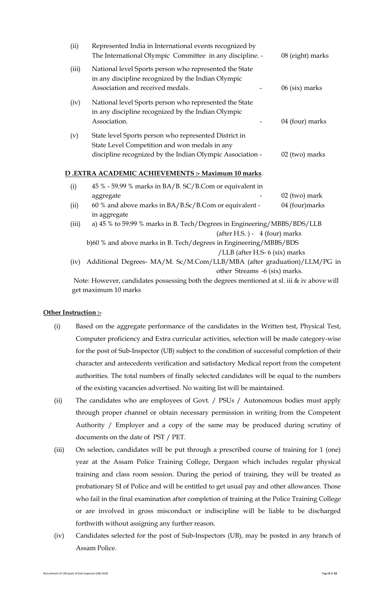|       | The International Olympic Committee in any discipline. -                                                                                                                                                                                                                                                                                                                                 | 08 (eight) marks |
|-------|------------------------------------------------------------------------------------------------------------------------------------------------------------------------------------------------------------------------------------------------------------------------------------------------------------------------------------------------------------------------------------------|------------------|
| (iii) | National level Sports person who represented the State<br>in any discipline recognized by the Indian Olympic<br>Association and received medals.                                                                                                                                                                                                                                         | $06$ (six) marks |
| (iv)  | National level Sports person who represented the State<br>in any discipline recognized by the Indian Olympic<br>Association.                                                                                                                                                                                                                                                             | 04 (four) marks  |
| (v)   | State level Sports person who represented District in<br>State Level Competition and won medals in any<br>discipline recognized by the Indian Olympic Association -                                                                                                                                                                                                                      | $02$ (two) marks |
|       | D.EXTRA ACADEMIC ACHIEVEMENTS :- Maximum 10 marks.<br>$\mathbf{r} = \mathbf{r} \mathbf{r}$ , and $\mathbf{r} \mathbf{r}$ , and $\mathbf{r} \mathbf{r}$ , and $\mathbf{r} \mathbf{r}$ , and $\mathbf{r} \mathbf{r}$ , and $\mathbf{r} \mathbf{r}$ , and $\mathbf{r} \mathbf{r}$ , and $\mathbf{r} \mathbf{r}$ , and $\mathbf{r} \mathbf{r}$ , and $\mathbf{r} \mathbf{r}$ , and $\mathbf$ |                  |

(i)  $45\%$  - 59.99 % marks in BA/B. SC/B.Com or equivalent in aggregate and the contract of the contract of the contract of the contract of the contract of the contract of the contract of the contract of the contract of the contract of the contract of the contract of the contract of (ii) 60 % and above marks in  $BA/B$ . Sc/B. Com or equivalent - 04 (four)marks in aggregate (iii) a) 45 % to 59.99 % marks in B. Tech/Degrees in Engineering/MBBS/BDS/LLB (after H.S.) -  $4$  (four) marks b)60 % and above marks in B. Tech/degrees in Engineering/MBBS/BDS /LLB (after H.S- 6 (six) marks (iv) Additional Degrees- MA/M. Sc/M.Com/LLB/MBA (after graduation)/LLM/PG in other Streams -6 (six) marks.

 Note: However, candidates possessing both the degrees mentioned at sl. iii & iv above will get maximum 10 marks

## **Other Instruction :-**

- (i) Based on the aggregate performance of the candidates in the Written test, Physical Test, Computer proficiency and Extra curricular activities, selection will be made category-wise for the post of Sub-Inspector (UB) subject to the condition of successful completion of their character and antecedents verification and satisfactory Medical report from the competent authorities. The total numbers of finally selected candidates will be equal to the numbers of the existing vacancies advertised. No waiting list will be maintained.
- (ii) The candidates who are employees of Govt. / PSUs / Autonomous bodies must apply through proper channel or obtain necessary permission in writing from the Competent Authority / Employer and a copy of the same may be produced during scrutiny of documents on the date of PST / PET.
- (iii) On selection, candidates will be put through a prescribed course of training for 1 (one) year at the Assam Police Training College, Dergaon which includes regular physical training and class room session. During the period of training, they will be treated as probationary SI of Police and will be entitled to get usual pay and other allowances. Those who fail in the final examination after completion of training at the Police Training College or are involved in gross misconduct or indiscipline will be liable to be discharged forthwith without assigning any further reason.
- (iv) Candidates selected for the post of Sub-Inspectors (UB), may be posted in any branch of Assam Police.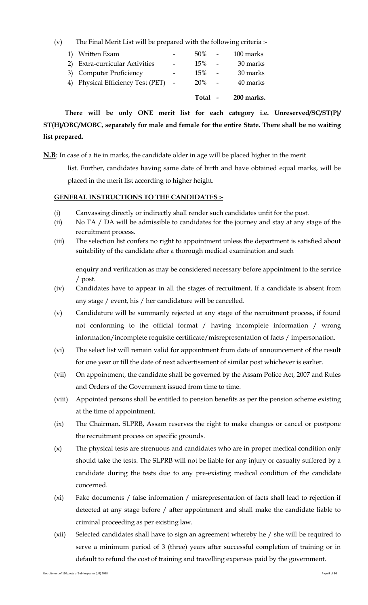(v) The Final Merit List will be prepared with the following criteria :-

|    |                                     |                          | Total - | 200 marks. |
|----|-------------------------------------|--------------------------|---------|------------|
|    | 4) Physical Efficiency Test (PET) - |                          | 20%     | 40 marks   |
|    | 3) Computer Proficiency             | $\overline{\phantom{0}}$ | 15%     | 30 marks   |
|    | 2) Extra-curricular Activities      | $\overline{\phantom{a}}$ | 15%     | 30 marks   |
| 1) | Written Exam                        |                          | 50%     | 100 marks  |

**There will be only ONE merit list for each category i.e. Unreserved/SC/ST(P)/ ST(H)/OBC/MOBC, separately for male and female for the entire State. There shall be no waiting list prepared.**

**N.B**: In case of a tie in marks, the candidate older in age will be placed higher in the merit

list. Further, candidates having same date of birth and have obtained equal marks, will be placed in the merit list according to higher height.

### **GENERAL INSTRUCTIONS TO THE CANDIDATES :-**

- (i) Canvassing directly or indirectly shall render such candidates unfit for the post.
- (ii) No TA / DA will be admissible to candidates for the journey and stay at any stage of the recruitment process.
- (iii) The selection list confers no right to appointment unless the department is satisfied about suitability of the candidate after a thorough medical examination and such

enquiry and verification as may be considered necessary before appointment to the service / post.

- (iv) Candidates have to appear in all the stages of recruitment. If a candidate is absent from any stage / event, his / her candidature will be cancelled.
- (v) Candidature will be summarily rejected at any stage of the recruitment process, if found not conforming to the official format / having incomplete information / wrong information/incomplete requisite certificate/misrepresentation of facts / impersonation.
- (vi) The select list will remain valid for appointment from date of announcement of the result for one year or till the date of next advertisement of similar post whichever is earlier.
- (vii) On appointment, the candidate shall be governed by the Assam Police Act, 2007 and Rules and Orders of the Government issued from time to time.
- (viii) Appointed persons shall be entitled to pension benefits as per the pension scheme existing at the time of appointment.
- (ix) The Chairman, SLPRB, Assam reserves the right to make changes or cancel or postpone the recruitment process on specific grounds.
- (x) The physical tests are strenuous and candidates who are in proper medical condition only should take the tests. The SLPRB will not be liable for any injury or casualty suffered by a candidate during the tests due to any pre-existing medical condition of the candidate concerned.
- (xi) Fake documents / false information / misrepresentation of facts shall lead to rejection if detected at any stage before / after appointment and shall make the candidate liable to criminal proceeding as per existing law.
- (xii) Selected candidates shall have to sign an agreement whereby he / she will be required to serve a minimum period of 3 (three) years after successful completion of training or in default to refund the cost of training and travelling expenses paid by the government.